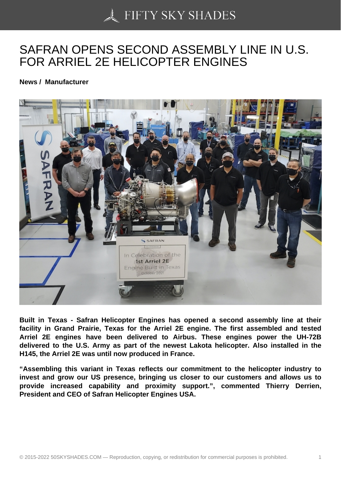## [SAFRAN OPENS SEC](https://50skyshades.com)OND ASSEMBLY LINE IN U.S. FOR ARRIEL 2E HELICOPTER ENGINES

News / Manufacturer

Built in Texas - Safran Helicopter Engines has opened a second assembly line at their facility in Grand Prairie, Texas for the Arriel 2E engine. The first assembled and tested Arriel 2E engines have been delivered to Airbus. These engines power the UH-72B delivered to the U.S. Army as part of the newest Lakota helicopter. Also installed in the H145, the Arriel 2E was until now produced in France.

"Assembling this variant in Texas reflects our commitment to the helicopter industry to invest and grow our US presence, bringing us closer to our customers and allows us to provide increased capability and proximity support.", commented Thierry Derrien, President and CEO of Safran Helicopter Engines USA.